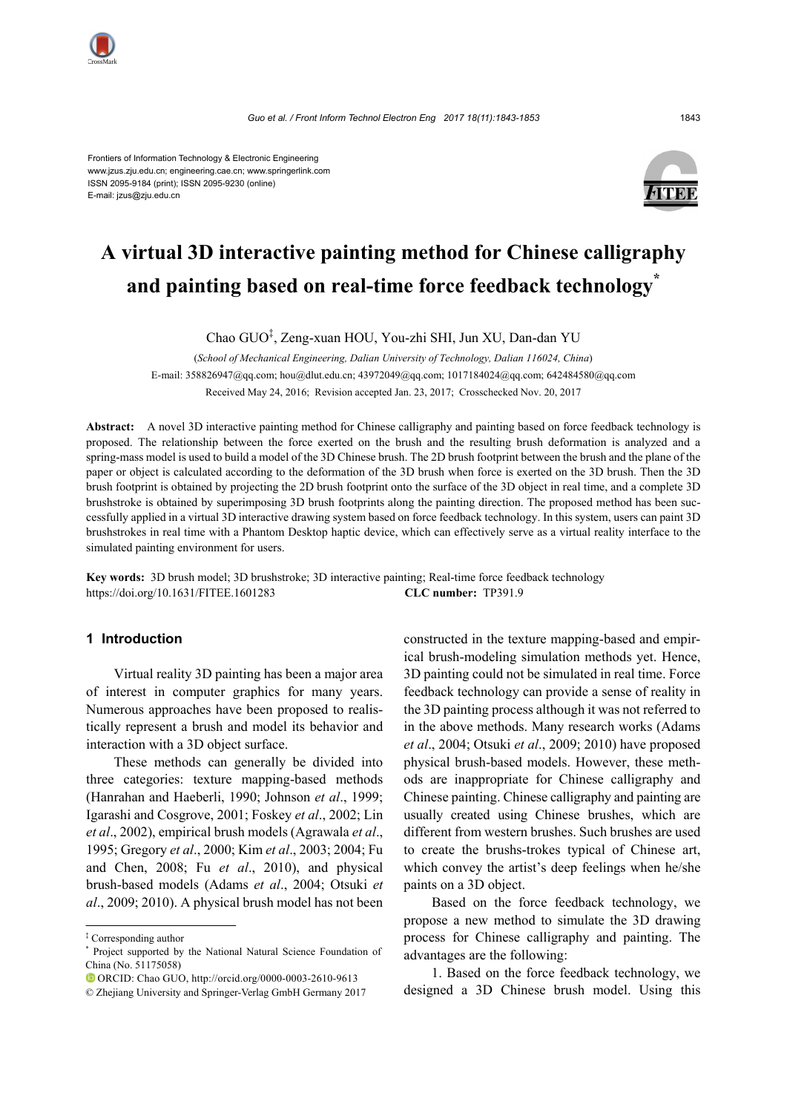

Frontiers of Information Technology & Electronic Engineering www.jzus.zju.edu.cn; engineering.cae.cn; www.springerlink.com ISSN 2095-9184 (print); ISSN 2095-9230 (online) E-mail: jzus@zju.edu.cn



# **A virtual 3D interactive painting method for Chinese calligraphy and painting based on real-time force feedback technology\***

Chao GUO‡ , Zeng-xuan HOU, You-zhi SHI, Jun XU, Dan-dan YU

(*School of Mechanical Engineering, Dalian University of Technology, Dalian 116024, China*) E-mail: 358826947@qq.com; hou@dlut.edu.cn; 43972049@qq.com; 1017184024@qq.com; 642484580@qq.com

Received May 24, 2016; Revision accepted Jan. 23, 2017; Crosschecked Nov. 20, 2017

**Abstract:** A novel 3D interactive painting method for Chinese calligraphy and painting based on force feedback technology is proposed. The relationship between the force exerted on the brush and the resulting brush deformation is analyzed and a spring-mass model is used to build a model of the 3D Chinese brush. The 2D brush footprint between the brush and the plane of the paper or object is calculated according to the deformation of the 3D brush when force is exerted on the 3D brush. Then the 3D brush footprint is obtained by projecting the 2D brush footprint onto the surface of the 3D object in real time, and a complete 3D brushstroke is obtained by superimposing 3D brush footprints along the painting direction. The proposed method has been successfully applied in a virtual 3D interactive drawing system based on force feedback technology. In this system, users can paint 3D brushstrokes in real time with a Phantom Desktop haptic device, which can effectively serve as a virtual reality interface to the simulated painting environment for users.

**Key words:** 3D brush model; 3D brushstroke; 3D interactive painting; Real-time force feedback technology https://doi.org/10.1631/FITEE.1601283 **CLC number:** TP391.9

### **1 Introduction**

Virtual reality 3D painting has been a major area of interest in computer graphics for many years. Numerous approaches have been proposed to realistically represent a brush and model its behavior and interaction with a 3D object surface.

These methods can generally be divided into three categories: texture mapping-based methods (Hanrahan and Haeberli, 1990; Johnson *et al*., 1999; Igarashi and Cosgrove, 2001; Foskey *et al*., 2002; Lin *et al*., 2002), empirical brush models (Agrawala *et al*., 1995; Gregory *et al*., 2000; Kim *et al*., 2003; 2004; Fu and Chen, 2008; Fu *et al*., 2010), and physical brush-based models (Adams *et al*., 2004; Otsuki *et al*., 2009; 2010). A physical brush model has not been constructed in the texture mapping-based and empirical brush-modeling simulation methods yet. Hence, 3D painting could not be simulated in real time. Force feedback technology can provide a sense of reality in the 3D painting process although it was not referred to in the above methods. Many research works (Adams *et al*., 2004; Otsuki *et al*., 2009; 2010) have proposed physical brush-based models. However, these methods are inappropriate for Chinese calligraphy and Chinese painting. Chinese calligraphy and painting are usually created using Chinese brushes, which are different from western brushes. Such brushes are used to create the brushs-trokes typical of Chinese art, which convey the artist's deep feelings when he/she paints on a 3D object.

Based on the force feedback technology, we propose a new method to simulate the 3D drawing process for Chinese calligraphy and painting. The advantages are the following:

1. Based on the force feedback technology, we designed a 3D Chinese brush model. Using this

<sup>‡</sup> Corresponding author

<sup>\*</sup> Project supported by the National Natural Science Foundation of China (No. 51175058)

ORCID: Chao GUO, http://orcid.org/0000-0003-2610-9613

<sup>©</sup> Zhejiang University and Springer-Verlag GmbH Germany 2017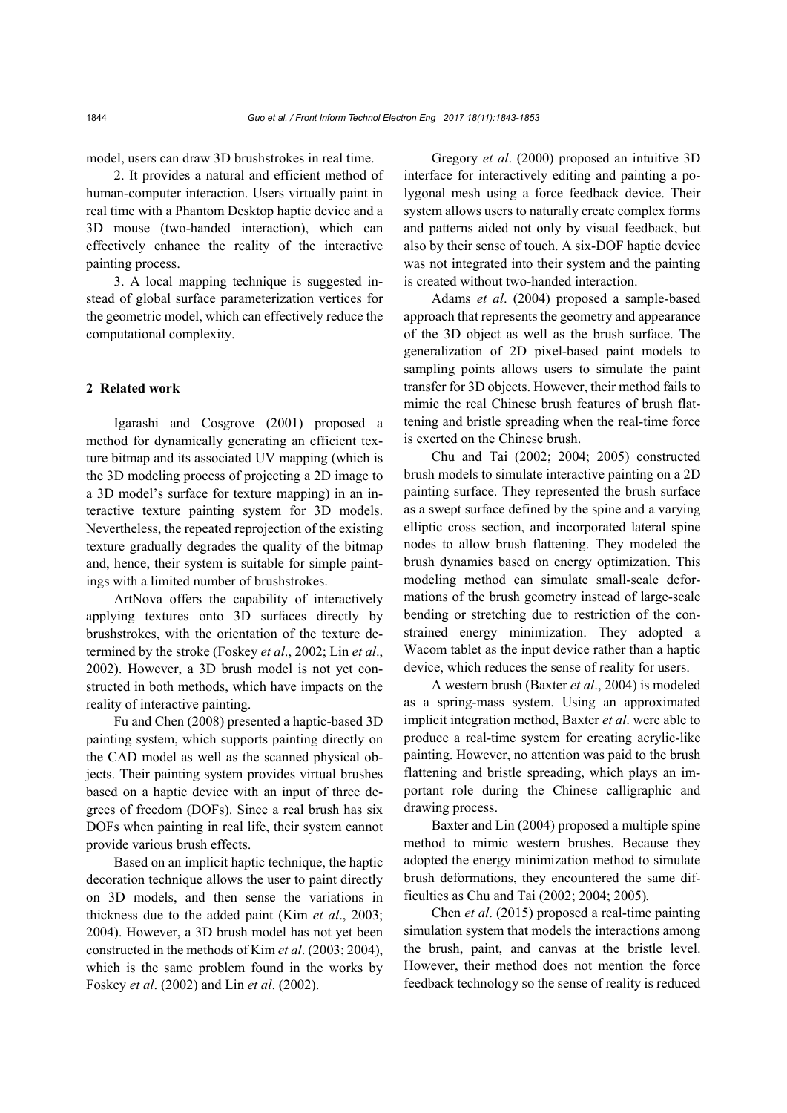model, users can draw 3D brushstrokes in real time.

2. It provides a natural and efficient method of human-computer interaction. Users virtually paint in real time with a Phantom Desktop haptic device and a 3D mouse (two-handed interaction), which can effectively enhance the reality of the interactive painting process.

3. A local mapping technique is suggested instead of global surface parameterization vertices for the geometric model, which can effectively reduce the computational complexity.

## **2 Related work**

Igarashi and Cosgrove (2001) proposed a method for dynamically generating an efficient texture bitmap and its associated UV mapping (which is the 3D modeling process of projecting a 2D image to a 3D model's surface for texture mapping) in an interactive texture painting system for 3D models. Nevertheless, the repeated reprojection of the existing texture gradually degrades the quality of the bitmap and, hence, their system is suitable for simple paintings with a limited number of brushstrokes.

ArtNova offers the capability of interactively applying textures onto 3D surfaces directly by brushstrokes, with the orientation of the texture determined by the stroke (Foskey *et al*., 2002; Lin *et al*., 2002). However, a 3D brush model is not yet constructed in both methods, which have impacts on the reality of interactive painting.

Fu and Chen (2008) presented a haptic-based 3D painting system, which supports painting directly on the CAD model as well as the scanned physical objects. Their painting system provides virtual brushes based on a haptic device with an input of three degrees of freedom (DOFs). Since a real brush has six DOFs when painting in real life, their system cannot provide various brush effects.

Based on an implicit haptic technique, the haptic decoration technique allows the user to paint directly on 3D models, and then sense the variations in thickness due to the added paint (Kim *et al*., 2003; 2004). However, a 3D brush model has not yet been constructed in the methods of Kim *et al*. (2003; 2004), which is the same problem found in the works by Foskey *et al*. (2002) and Lin *et al*. (2002).

Gregory *et al*. (2000) proposed an intuitive 3D interface for interactively editing and painting a polygonal mesh using a force feedback device. Their system allows users to naturally create complex forms and patterns aided not only by visual feedback, but also by their sense of touch. A six-DOF haptic device was not integrated into their system and the painting is created without two-handed interaction.

Adams *et al*. (2004) proposed a sample-based approach that represents the geometry and appearance of the 3D object as well as the brush surface. The generalization of 2D pixel-based paint models to sampling points allows users to simulate the paint transfer for 3D objects. However, their method fails to mimic the real Chinese brush features of brush flattening and bristle spreading when the real-time force is exerted on the Chinese brush.

Chu and Tai (2002; 2004; 2005) constructed brush models to simulate interactive painting on a 2D painting surface. They represented the brush surface as a swept surface defined by the spine and a varying elliptic cross section, and incorporated lateral spine nodes to allow brush flattening. They modeled the brush dynamics based on energy optimization. This modeling method can simulate small-scale deformations of the brush geometry instead of large-scale bending or stretching due to restriction of the constrained energy minimization. They adopted a Wacom tablet as the input device rather than a haptic device, which reduces the sense of reality for users.

A western brush (Baxter *et al*., 2004) is modeled as a spring-mass system. Using an approximated implicit integration method, Baxter *et al*. were able to produce a real-time system for creating acrylic-like painting. However, no attention was paid to the brush flattening and bristle spreading, which plays an important role during the Chinese calligraphic and drawing process.

Baxter and Lin (2004) proposed a multiple spine method to mimic western brushes. Because they adopted the energy minimization method to simulate brush deformations, they encountered the same difficulties as Chu and Tai (2002; 2004; 2005)*.*

Chen *et al*. (2015) proposed a real-time painting simulation system that models the interactions among the brush, paint, and canvas at the bristle level. However, their method does not mention the force feedback technology so the sense of reality is reduced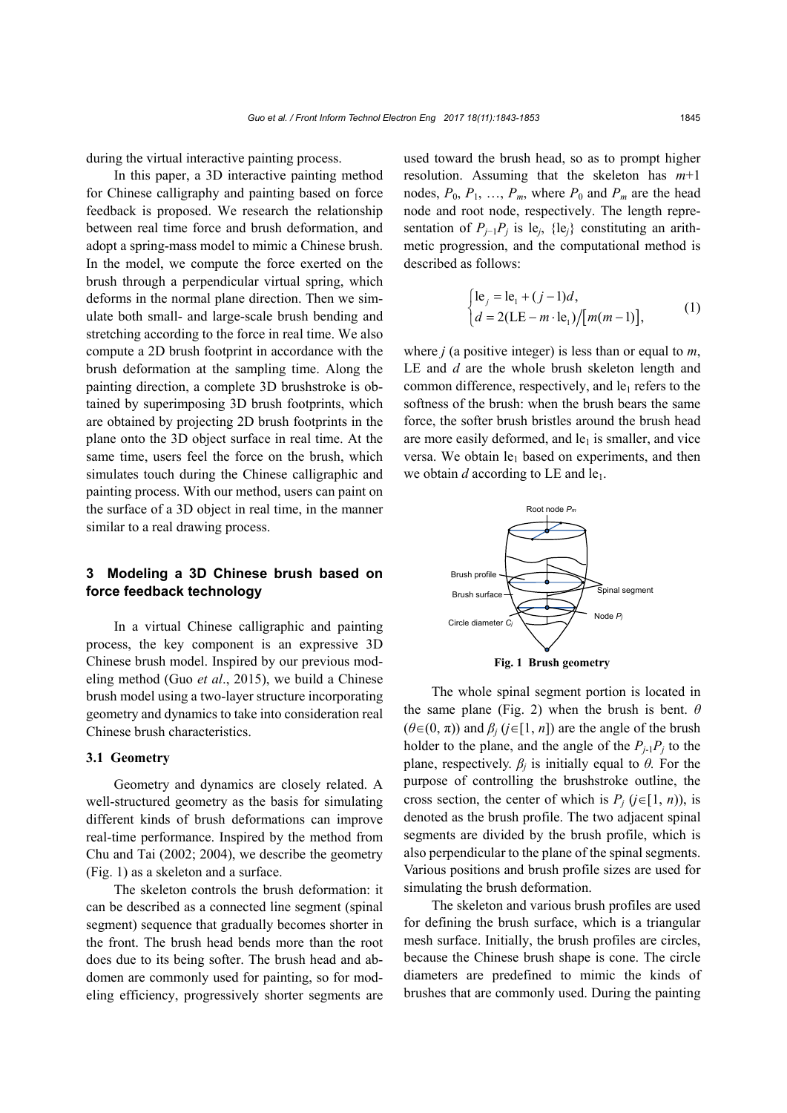during the virtual interactive painting process.

In this paper, a 3D interactive painting method for Chinese calligraphy and painting based on force feedback is proposed. We research the relationship between real time force and brush deformation, and adopt a spring-mass model to mimic a Chinese brush. In the model, we compute the force exerted on the brush through a perpendicular virtual spring, which deforms in the normal plane direction. Then we simulate both small- and large-scale brush bending and stretching according to the force in real time. We also compute a 2D brush footprint in accordance with the brush deformation at the sampling time. Along the painting direction, a complete 3D brushstroke is obtained by superimposing 3D brush footprints, which are obtained by projecting 2D brush footprints in the plane onto the 3D object surface in real time. At the same time, users feel the force on the brush, which simulates touch during the Chinese calligraphic and painting process. With our method, users can paint on the surface of a 3D object in real time, in the manner similar to a real drawing process.

## **3 Modeling a 3D Chinese brush based on force feedback technology**

In a virtual Chinese calligraphic and painting process, the key component is an expressive 3D Chinese brush model. Inspired by our previous modeling method (Guo *et al*., 2015), we build a Chinese brush model using a two-layer structure incorporating geometry and dynamics to take into consideration real Chinese brush characteristics.

#### **3.1 Geometry**

Geometry and dynamics are closely related. A well-structured geometry as the basis for simulating different kinds of brush deformations can improve real-time performance. Inspired by the method from Chu and Tai (2002; 2004), we describe the geometry (Fig. 1) as a skeleton and a surface.

The skeleton controls the brush deformation: it can be described as a connected line segment (spinal segment) sequence that gradually becomes shorter in the front. The brush head bends more than the root does due to its being softer. The brush head and abdomen are commonly used for painting, so for modeling efficiency, progressively shorter segments are

used toward the brush head, so as to prompt higher resolution. Assuming that the skeleton has *m*+1 nodes,  $P_0$ ,  $P_1$ , ...,  $P_m$ , where  $P_0$  and  $P_m$  are the head node and root node, respectively. The length representation of  $P_{i-1}P_i$  is le<sub>*j*</sub>, {le<sub>*j*</sub>} constituting an arithmetic progression, and the computational method is described as follows:

$$
\begin{cases} \n\text{le}_j = \text{le}_1 + (j - 1)d, \\ \nd = 2(\text{LE} - m \cdot \text{le}_1) / [m(m - 1)], \n\end{cases} \tag{1}
$$

where *j* (a positive integer) is less than or equal to *m*, LE and *d* are the whole brush skeleton length and common difference, respectively, and  $le_1$  refers to the softness of the brush: when the brush bears the same force, the softer brush bristles around the brush head are more easily deformed, and  $le<sub>1</sub>$  is smaller, and vice versa. We obtain  $le_1$  based on experiments, and then we obtain  $d$  according to LE and  $le_1$ .



The whole spinal segment portion is located in the same plane (Fig. 2) when the brush is bent.  $\theta$  $(\theta \in (0, \pi))$  and  $\beta_i$  ( $j \in [1, n]$ ) are the angle of the brush holder to the plane, and the angle of the  $P_{i-1}P_i$  to the plane, respectively.  $\beta_i$  is initially equal to  $\theta$ . For the purpose of controlling the brushstroke outline, the cross section, the center of which is  $P_i$  ( $j \in [1, n)$ ), is denoted as the brush profile. The two adjacent spinal segments are divided by the brush profile, which is also perpendicular to the plane of the spinal segments. Various positions and brush profile sizes are used for simulating the brush deformation.

The skeleton and various brush profiles are used for defining the brush surface, which is a triangular mesh surface. Initially, the brush profiles are circles, because the Chinese brush shape is cone. The circle diameters are predefined to mimic the kinds of brushes that are commonly used. During the painting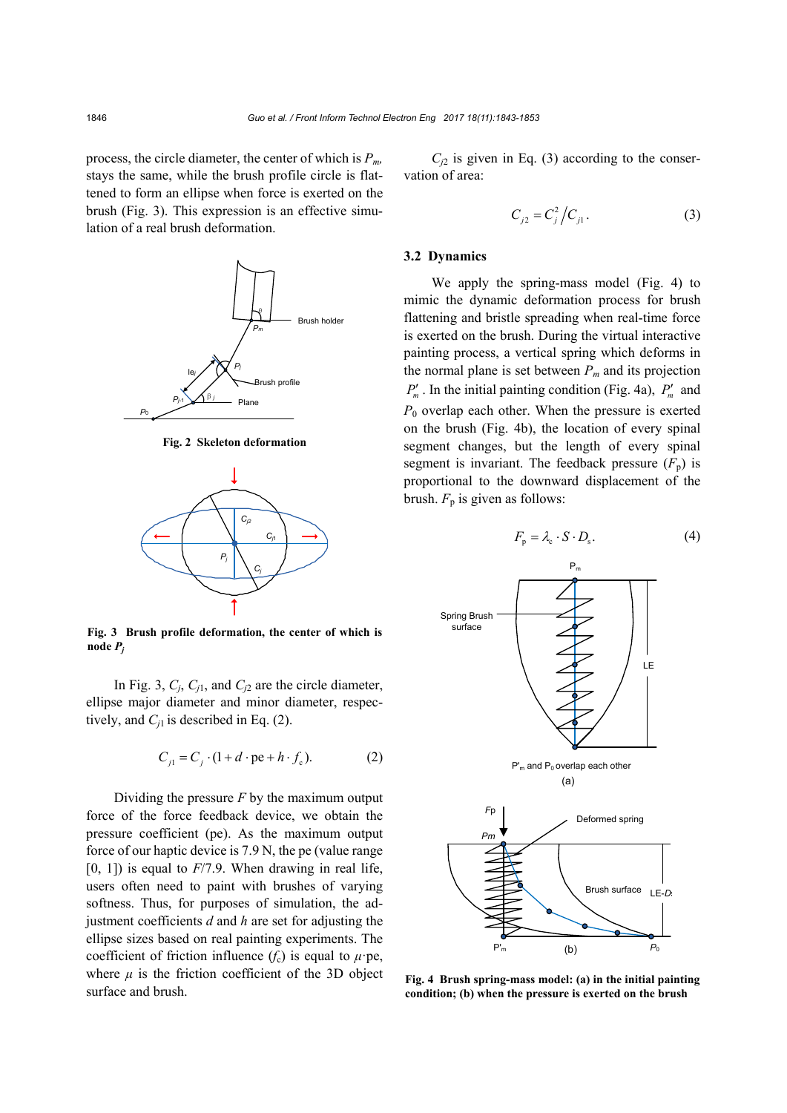process, the circle diameter, the center of which is *Pm,*  stays the same, while the brush profile circle is flattened to form an ellipse when force is exerted on the brush (Fig. 3). This expression is an effective simulation of a real brush deformation.



**Fig. 2 Skeleton deformation**



**Fig. 3 Brush profile deformation, the center of which is node** *Pj*

In Fig. 3, *Cj*, *Cj*1, and *Cj*<sup>2</sup> are the circle diameter, ellipse major diameter and minor diameter, respectively, and  $C_{i1}$  is described in Eq. (2).

$$
C_{j1} = C_j \cdot (1 + d \cdot \text{pe} + h \cdot f_c). \tag{2}
$$

Dividing the pressure *F* by the maximum output force of the force feedback device, we obtain the pressure coefficient (pe). As the maximum output force of our haptic device is 7.9 N, the pe (value range  $[0, 1]$ ) is equal to  $F/7.9$ . When drawing in real life, users often need to paint with brushes of varying softness. Thus, for purposes of simulation, the adjustment coefficients *d* and *h* are set for adjusting the ellipse sizes based on real painting experiments. The coefficient of friction influence  $(f_c)$  is equal to  $\mu$ ·pe, where  $\mu$  is the friction coefficient of the 3D object surface and brush.

 $C_{i2}$  is given in Eq. (3) according to the conservation of area:

$$
C_{j2} = C_j^2 / C_{j1}.
$$
 (3)

## **3.2 Dynamics**

We apply the spring-mass model (Fig. 4) to mimic the dynamic deformation process for brush flattening and bristle spreading when real-time force is exerted on the brush. During the virtual interactive painting process, a vertical spring which deforms in the normal plane is set between  $P_m$  and its projection  $P'_m$ . In the initial painting condition (Fig. 4a),  $P'_m$  and  $P_0$  overlap each other. When the pressure is exerted on the brush (Fig. 4b), the location of every spinal segment changes, but the length of every spinal segment is invariant. The feedback pressure  $(F<sub>n</sub>)$  is proportional to the downward displacement of the brush.  $F_p$  is given as follows:

$$
F_{\rm p} = \lambda_{\rm c} \cdot S \cdot D_{\rm s}.
$$
 (4)



**Fig. 4 Brush spring-mass model: (a) in the initial painting condition; (b) when the pressure is exerted on the brush**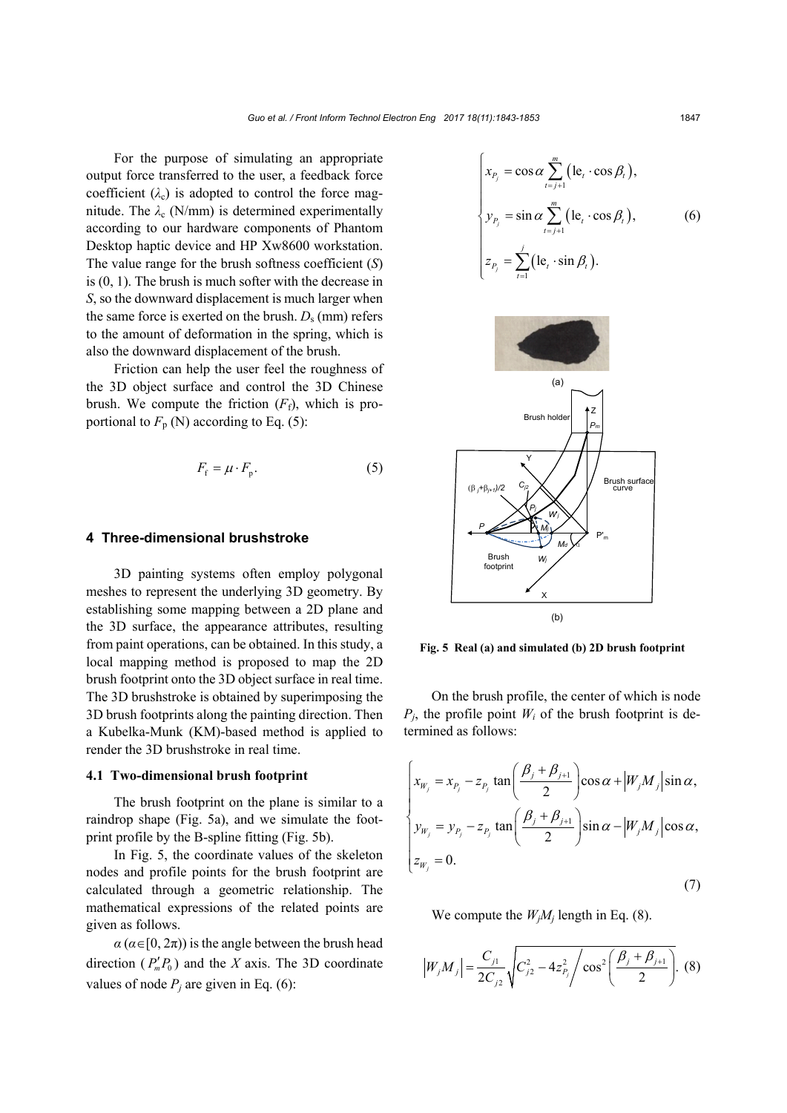For the purpose of simulating an appropriate output force transferred to the user, a feedback force coefficient  $(\lambda_c)$  is adopted to control the force magnitude. The  $\lambda_c$  (N/mm) is determined experimentally according to our hardware components of Phantom Desktop haptic device and HP Xw8600 workstation. The value range for the brush softness coefficient (*S*) is (0, 1). The brush is much softer with the decrease in *S*, so the downward displacement is much larger when the same force is exerted on the brush.  $D_s$  (mm) refers to the amount of deformation in the spring, which is also the downward displacement of the brush.

Friction can help the user feel the roughness of the 3D object surface and control the 3D Chinese brush. We compute the friction  $(F_f)$ , which is proportional to  $F_p$  (N) according to Eq. (5):

$$
F_{\rm f} = \mu \cdot F_{\rm p}.\tag{5}
$$

#### **4 Three-dimensional brushstroke**

3D painting systems often employ polygonal meshes to represent the underlying 3D geometry. By establishing some mapping between a 2D plane and the 3D surface, the appearance attributes, resulting from paint operations, can be obtained. In this study, a local mapping method is proposed to map the 2D brush footprint onto the 3D object surface in real time. The 3D brushstroke is obtained by superimposing the 3D brush footprints along the painting direction. Then a Kubelka-Munk (KM)-based method is applied to render the 3D brushstroke in real time.

## **4.1 Two-dimensional brush footprint**

The brush footprint on the plane is similar to a raindrop shape (Fig. 5a), and we simulate the footprint profile by the B-spline fitting (Fig. 5b).

In Fig. 5, the coordinate values of the skeleton nodes and profile points for the brush footprint are calculated through a geometric relationship. The mathematical expressions of the related points are given as follows.

 $a$  ( $a \in [0, 2\pi)$ ) is the angle between the brush head direction  $(P_n' P_n)$  and the *X* axis. The 3D coordinate values of node  $P_i$  are given in Eq. (6):

$$
\begin{cases}\n x_{P_j} = \cos \alpha \sum_{t=j+1}^{m} (\mathbf{le}_t \cdot \cos \beta_t), \\
y_{P_j} = \sin \alpha \sum_{t=j+1}^{m} (\mathbf{le}_t \cdot \cos \beta_t), \\
z_{P_j} = \sum_{t=1}^{j} (\mathbf{le}_t \cdot \sin \beta_t).\n\end{cases}
$$
\n(6)



**Fig. 5 Real (a) and simulated (b) 2D brush footprint**

On the brush profile, the center of which is node  $P_i$ , the profile point  $W_i$  of the brush footprint is determined as follows:

$$
\begin{cases}\n x_{W_j} = x_{P_j} - z_{P_j} \tan\left(\frac{\beta_j + \beta_{j+1}}{2}\right) \cos\alpha + \left|W_j M_j\right| \sin\alpha, \\
y_{W_j} = y_{P_j} - z_{P_j} \tan\left(\frac{\beta_j + \beta_{j+1}}{2}\right) \sin\alpha - \left|W_j M_j\right| \cos\alpha, \\
z_{W_j} = 0.\n\end{cases}
$$
\n(7)

We compute the  $W_iM_i$  length in Eq. (8).

$$
\left|W_j M_j\right| = \frac{C_{j1}}{2C_{j2}} \sqrt{C_{j2}^2 - 4z_{P_j}^2 / \cos^2\left(\frac{\beta_j + \beta_{j+1}}{2}\right)}.
$$
 (8)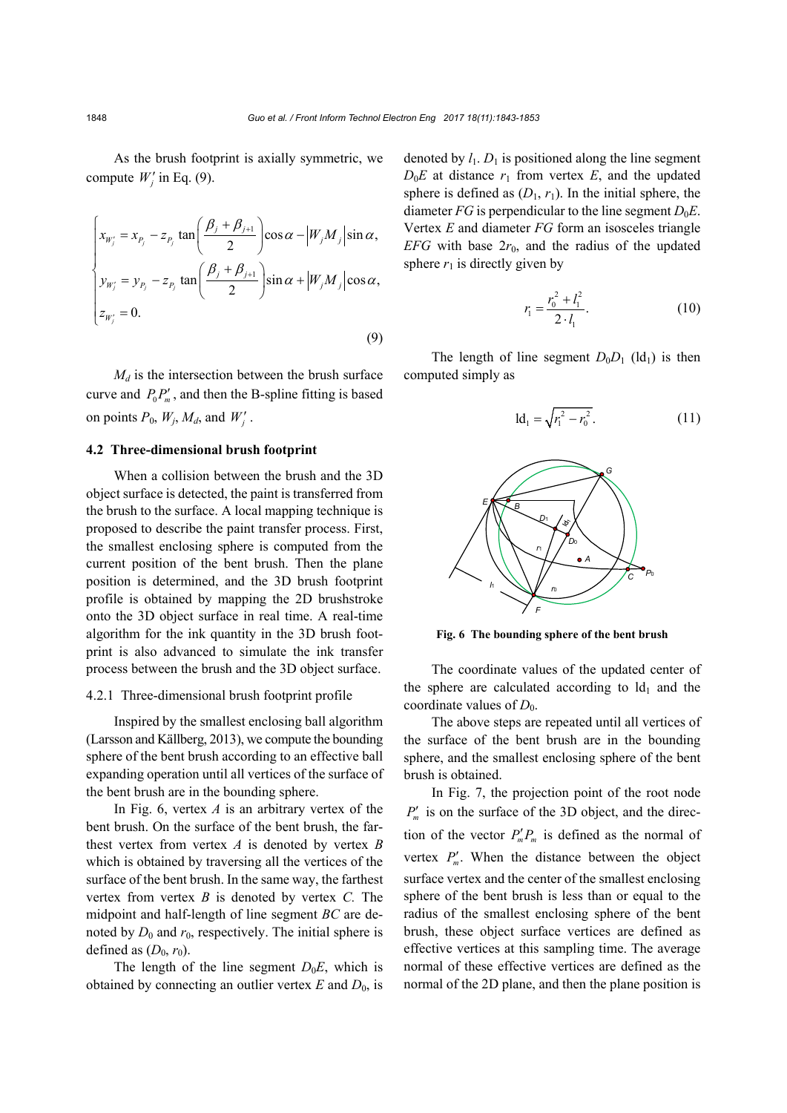As the brush footprint is axially symmetric, we compute  $W'_j$  in Eq. (9).

$$
\begin{cases}\n x_{W'_j} = x_{P_j} - z_{P_j} \tan\left(\frac{\beta_j + \beta_{j+1}}{2}\right) \cos\alpha - \left|W_j M_j\right| \sin\alpha, \\
y_{W'_j} = y_{P_j} - z_{P_j} \tan\left(\frac{\beta_j + \beta_{j+1}}{2}\right) \sin\alpha + \left|W_j M_j\right| \cos\alpha, \\
z_{W'_j} = 0.\n\end{cases}
$$
\n(9)

 $M_d$  is the intersection between the brush surface curve and  $P_0 P'_m$ , and then the B-spline fitting is based on points  $P_0$ ,  $W_j$ ,  $M_d$ , and  $W'_j$ .

## **4.2 Three-dimensional brush footprint**

When a collision between the brush and the 3D object surface is detected, the paint is transferred from the brush to the surface. A local mapping technique is proposed to describe the paint transfer process. First, the smallest enclosing sphere is computed from the current position of the bent brush. Then the plane position is determined, and the 3D brush footprint profile is obtained by mapping the 2D brushstroke onto the 3D object surface in real time. A real-time algorithm for the ink quantity in the 3D brush footprint is also advanced to simulate the ink transfer process between the brush and the 3D object surface.

### 4.2.1 Three-dimensional brush footprint profile

Inspired by the smallest enclosing ball algorithm (Larsson and Källberg, 2013), we compute the bounding sphere of the bent brush according to an effective ball expanding operation until all vertices of the surface of the bent brush are in the bounding sphere.

In Fig. 6, vertex *A* is an arbitrary vertex of the bent brush. On the surface of the bent brush, the farthest vertex from vertex *A* is denoted by vertex *B*  which is obtained by traversing all the vertices of the surface of the bent brush. In the same way, the farthest vertex from vertex *B* is denoted by vertex *C.* The midpoint and half-length of line segment *BC* are denoted by  $D_0$  and  $r_0$ , respectively. The initial sphere is defined as  $(D_0, r_0)$ .

The length of the line segment  $D_0E$ , which is obtained by connecting an outlier vertex  $E$  and  $D_0$ , is denoted by  $l_1$ .  $D_1$  is positioned along the line segment  $D_0E$  at distance  $r_1$  from vertex  $E$ , and the updated sphere is defined as  $(D_1, r_1)$ . In the initial sphere, the diameter *FG* is perpendicular to the line segment  $D_0E$ . Vertex *E* and diameter *FG* form an isosceles triangle *EFG* with base  $2r_0$ , and the radius of the updated sphere  $r_1$  is directly given by

$$
r_1 = \frac{r_0^2 + l_1^2}{2 \cdot l_1}.
$$
 (10)

The length of line segment  $D_0D_1$  (ld<sub>1</sub>) is then computed simply as

$$
ld_1 = \sqrt{r_1^2 - r_0^2}.
$$
 (11)



**Fig. 6 The bounding sphere of the bent brush**

The coordinate values of the updated center of the sphere are calculated according to  $Id_1$  and the coordinate values of  $D_0$ .

The above steps are repeated until all vertices of the surface of the bent brush are in the bounding sphere, and the smallest enclosing sphere of the bent brush is obtained.

In Fig. 7, the projection point of the root node  $P'_m$  is on the surface of the 3D object, and the direction of the vector  $P'_m P_m$  is defined as the normal of vertex  $P'_m$ . When the distance between the object surface vertex and the center of the smallest enclosing sphere of the bent brush is less than or equal to the radius of the smallest enclosing sphere of the bent brush, these object surface vertices are defined as effective vertices at this sampling time. The average normal of these effective vertices are defined as the normal of the 2D plane, and then the plane position is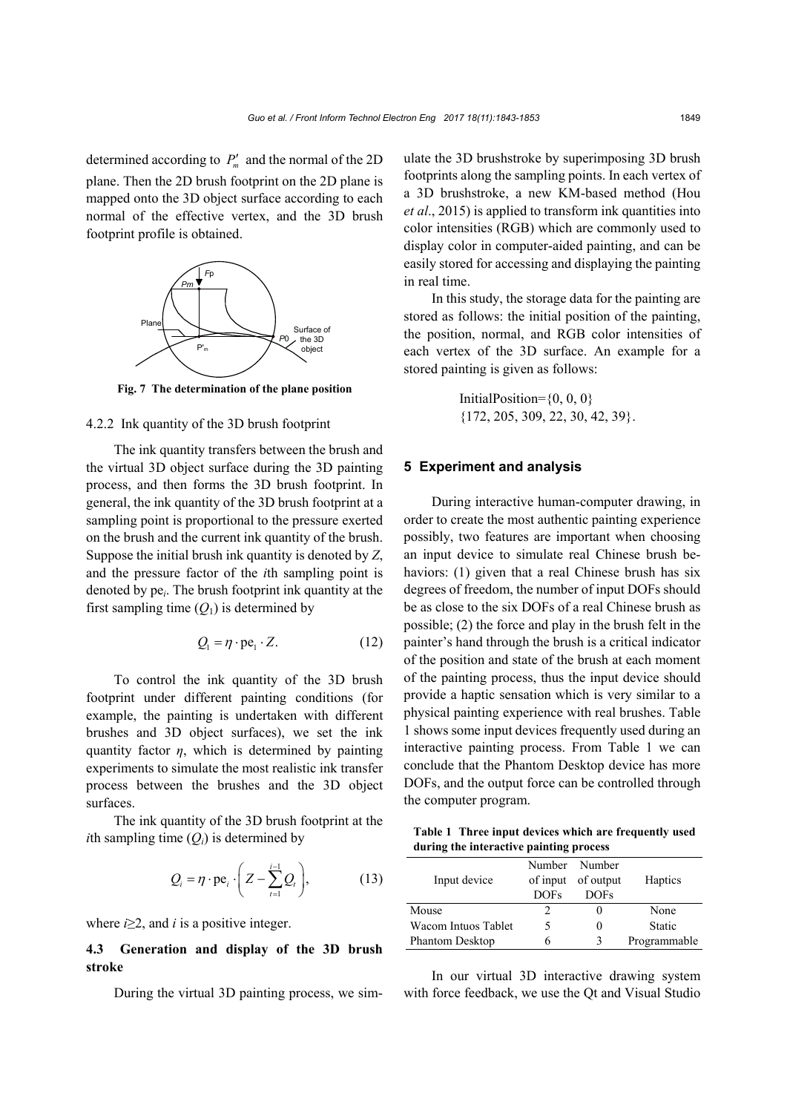determined according to  $P'_m$  and the normal of the 2D plane. Then the 2D brush footprint on the 2D plane is mapped onto the 3D object surface according to each normal of the effective vertex, and the 3D brush footprint profile is obtained.



**Fig. 7 The determination of the plane position**

#### 4.2.2 Ink quantity of the 3D brush footprint

The ink quantity transfers between the brush and the virtual 3D object surface during the 3D painting process, and then forms the 3D brush footprint. In general, the ink quantity of the 3D brush footprint at a sampling point is proportional to the pressure exerted on the brush and the current ink quantity of the brush. Suppose the initial brush ink quantity is denoted by *Z*, and the pressure factor of the *i*th sampling point is denoted by pe*i*. The brush footprint ink quantity at the first sampling time  $(Q_1)$  is determined by

$$
Q_{1} = \eta \cdot \text{pe}_{1} \cdot Z. \tag{12}
$$

To control the ink quantity of the 3D brush footprint under different painting conditions (for example, the painting is undertaken with different brushes and 3D object surfaces), we set the ink quantity factor  $\eta$ , which is determined by painting experiments to simulate the most realistic ink transfer process between the brushes and the 3D object surfaces.

The ink quantity of the 3D brush footprint at the *i*th sampling time  $(O_i)$  is determined by

$$
Q_i = \eta \cdot \text{pe}_i \cdot \left( Z - \sum_{t=1}^{i-1} Q_t \right), \tag{13}
$$

where  $i \geq 2$ , and *i* is a positive integer.

# **4.3 Generation and display of the 3D brush stroke**

During the virtual 3D painting process, we sim-

ulate the 3D brushstroke by superimposing 3D brush footprints along the sampling points. In each vertex of a 3D brushstroke, a new KM-based method (Hou *et al*., 2015) is applied to transform ink quantities into color intensities (RGB) which are commonly used to display color in computer-aided painting, and can be easily stored for accessing and displaying the painting in real time.

In this study, the storage data for the painting are stored as follows: the initial position of the painting, the position, normal, and RGB color intensities of each vertex of the 3D surface. An example for a stored painting is given as follows:

> InitialPosition= $\{0, 0, 0\}$ {172, 205, 309, 22, 30, 42, 39}.

#### **5 Experiment and analysis**

During interactive human-computer drawing, in order to create the most authentic painting experience possibly, two features are important when choosing an input device to simulate real Chinese brush behaviors: (1) given that a real Chinese brush has six degrees of freedom, the number of input DOFs should be as close to the six DOFs of a real Chinese brush as possible; (2) the force and play in the brush felt in the painter's hand through the brush is a critical indicator of the position and state of the brush at each moment of the painting process, thus the input device should provide a haptic sensation which is very similar to a physical painting experience with real brushes. Table 1 shows some input devices frequently used during an interactive painting process. From Table 1 we can conclude that the Phantom Desktop device has more DOFs, and the output force can be controlled through the computer program.

**Table 1 Three input devices which are frequently used during the interactive painting process**

|                     |             | Number Number      |              |
|---------------------|-------------|--------------------|--------------|
| Input device        |             | of input of output | Haptics      |
|                     | <b>DOFs</b> | <b>DOFs</b>        |              |
| Mouse               |             |                    | None         |
| Wacom Intuos Tablet |             |                    | Static       |
| Phantom Desktop     | h           | κ                  | Programmable |

In our virtual 3D interactive drawing system with force feedback, we use the Qt and Visual Studio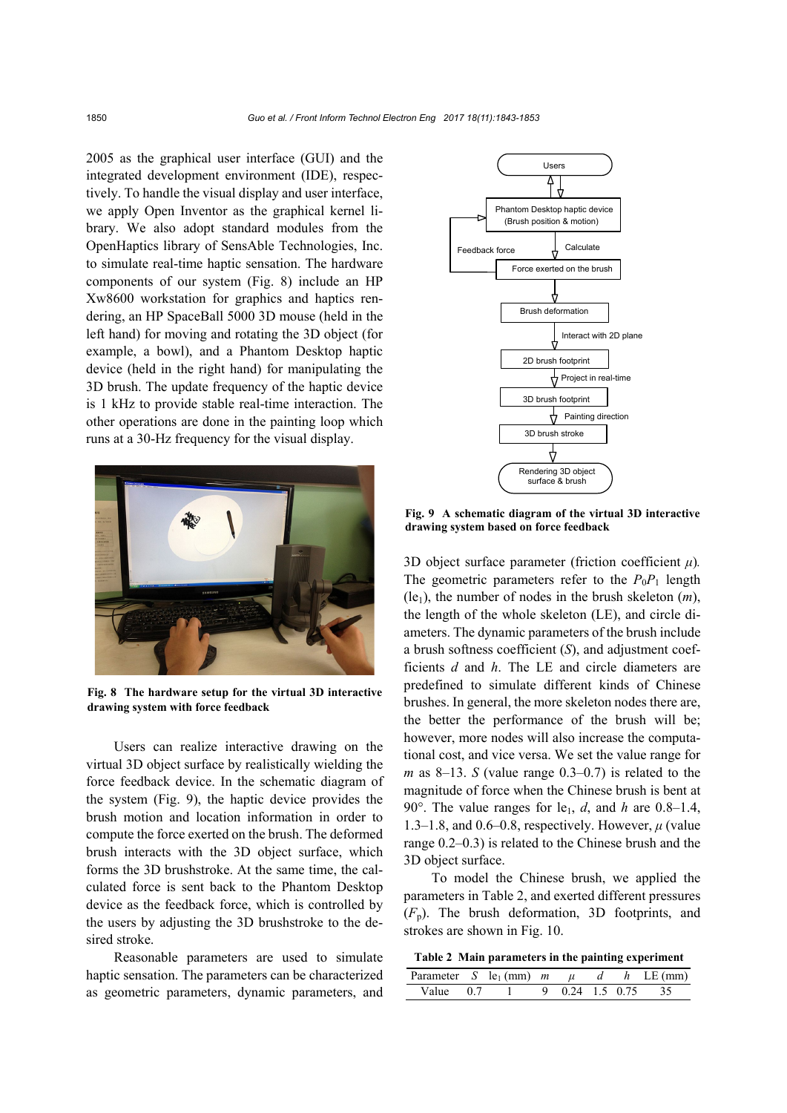2005 as the graphical user interface (GUI) and the integrated development environment (IDE), respectively. To handle the visual display and user interface, we apply Open Inventor as the graphical kernel library. We also adopt standard modules from the OpenHaptics library of SensAble Technologies, Inc. to simulate real-time haptic sensation. The hardware components of our system (Fig. 8) include an HP Xw8600 workstation for graphics and haptics rendering, an HP SpaceBall 5000 3D mouse (held in the left hand) for moving and rotating the 3D object (for example, a bowl), and a Phantom Desktop haptic device (held in the right hand) for manipulating the 3D brush. The update frequency of the haptic device is 1 kHz to provide stable real-time interaction. The other operations are done in the painting loop which runs at a 30-Hz frequency for the visual display.



**Fig. 8 The hardware setup for the virtual 3D interactive drawing system with force feedback**

Users can realize interactive drawing on the virtual 3D object surface by realistically wielding the force feedback device. In the schematic diagram of the system (Fig. 9), the haptic device provides the brush motion and location information in order to compute the force exerted on the brush. The deformed brush interacts with the 3D object surface, which forms the 3D brushstroke. At the same time, the calculated force is sent back to the Phantom Desktop device as the feedback force, which is controlled by the users by adjusting the 3D brushstroke to the desired stroke.

Reasonable parameters are used to simulate haptic sensation. The parameters can be characterized as geometric parameters, dynamic parameters, and



**Fig. 9 A schematic diagram of the virtual 3D interactive drawing system based on force feedback**

3D object surface parameter (friction coefficient *μ*)*.*  The geometric parameters refer to the  $P_0P_1$  length  $(le<sub>1</sub>)$ , the number of nodes in the brush skeleton  $(m)$ , the length of the whole skeleton (LE), and circle diameters. The dynamic parameters of the brush include a brush softness coefficient (*S*), and adjustment coefficients *d* and *h*. The LE and circle diameters are predefined to simulate different kinds of Chinese brushes. In general, the more skeleton nodes there are, the better the performance of the brush will be; however, more nodes will also increase the computational cost, and vice versa. We set the value range for *m* as 8–13. *S* (value range 0.3–0.7) is related to the magnitude of force when the Chinese brush is bent at 90°. The value ranges for le<sub>1</sub>, *d*, and *h* are 0.8–1.4, 1.3–1.8, and 0.6–0.8, respectively. However, *μ* (value range 0.2–0.3) is related to the Chinese brush and the 3D object surface.

To model the Chinese brush, we applied the parameters in Table 2, and exerted different pressures (*F*p). The brush deformation, 3D footprints, and strokes are shown in Fig. 10.

**Table 2 Main parameters in the painting experiment**

| Parameter S le <sub>1</sub> (mm) $m \mu d h$ LE(mm) |  |  |  |                    |
|-----------------------------------------------------|--|--|--|--------------------|
| Value 0.7                                           |  |  |  | 9 0 24 1 5 0 75 35 |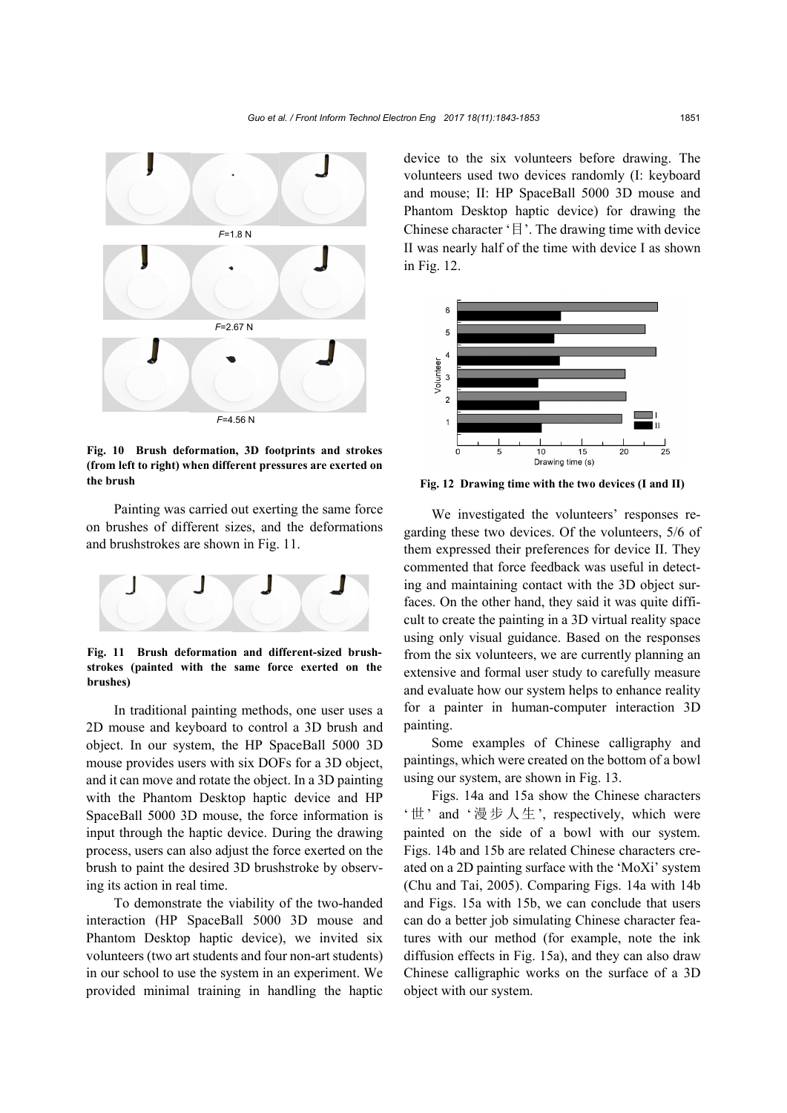

**Fig. 10 Brush deformation, 3D footprints and strokes (from left to right) when different pressures are exerted on the brush**

Painting was carried out exerting the same force on brushes of different sizes, and the deformations and brushstrokes are shown in Fig. 11.



**Fig. 11 Brush deformation and different-sized brushstrokes (painted with the same force exerted on the brushes)**

In traditional painting methods, one user uses a 2D mouse and keyboard to control a 3D brush and object. In our system, the HP SpaceBall 5000 3D mouse provides users with six DOFs for a 3D object, and it can move and rotate the object. In a 3D painting with the Phantom Desktop haptic device and HP SpaceBall 5000 3D mouse, the force information is input through the haptic device. During the drawing process, users can also adjust the force exerted on the brush to paint the desired 3D brushstroke by observing its action in real time.

To demonstrate the viability of the two-handed interaction (HP SpaceBall 5000 3D mouse and Phantom Desktop haptic device), we invited six volunteers (two art students and four non-art students) in our school to use the system in an experiment. We provided minimal training in handling the haptic device to the six volunteers before drawing. The volunteers used two devices randomly (I: keyboard and mouse; II: HP SpaceBall 5000 3D mouse and Phantom Desktop haptic device) for drawing the Chinese character '目'. The drawing time with device II was nearly half of the time with device I as shown in Fig. 12.



**Fig. 12 Drawing time with the two devices (I and II)**

We investigated the volunteers' responses regarding these two devices. Of the volunteers, 5/6 of them expressed their preferences for device II. They commented that force feedback was useful in detecting and maintaining contact with the 3D object surfaces. On the other hand, they said it was quite difficult to create the painting in a 3D virtual reality space using only visual guidance. Based on the responses from the six volunteers, we are currently planning an extensive and formal user study to carefully measure and evaluate how our system helps to enhance reality for a painter in human-computer interaction 3D painting.

Some examples of Chinese calligraphy and paintings, which were created on the bottom of a bowl using our system, are shown in Fig. 13.

Figs. 14a and 15a show the Chinese characters '世' and '漫步人生', respectively, which were painted on the side of a bowl with our system. Figs. 14b and 15b are related Chinese characters created on a 2D painting surface with the 'MoXi' system (Chu and Tai, 2005). Comparing Figs. 14a with 14b and Figs. 15a with 15b, we can conclude that users can do a better job simulating Chinese character features with our method (for example, note the ink diffusion effects in Fig. 15a), and they can also draw Chinese calligraphic works on the surface of a 3D object with our system.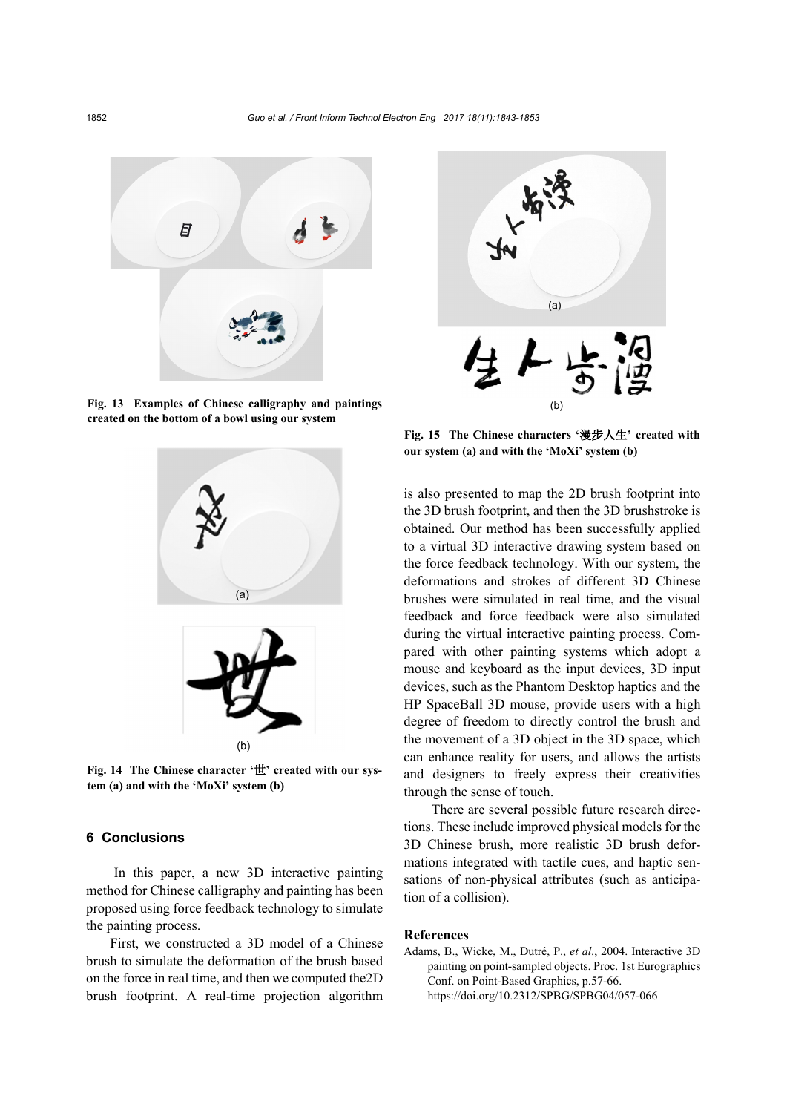

**Fig. 13 Examples of Chinese calligraphy and paintings created on the bottom of a bowl using our system**



**Fig. 14 The Chinese character '**世**' created with our system (a) and with the 'MoXi' system (b)**

# **6 Conclusions**

In this paper, a new 3D interactive painting method for Chinese calligraphy and painting has been proposed using force feedback technology to simulate the painting process.

First, we constructed a 3D model of a Chinese brush to simulate the deformation of the brush based on the force in real time, and then we computed the2D brush footprint. A real-time projection algorithm



**Fig. 15 The Chinese characters '**漫步人生**' created with our system (a) and with the 'MoXi' system (b)**

is also presented to map the 2D brush footprint into the 3D brush footprint, and then the 3D brushstroke is obtained. Our method has been successfully applied to a virtual 3D interactive drawing system based on the force feedback technology. With our system, the deformations and strokes of different 3D Chinese brushes were simulated in real time, and the visual feedback and force feedback were also simulated during the virtual interactive painting process. Compared with other painting systems which adopt a mouse and keyboard as the input devices, 3D input devices, such as the Phantom Desktop haptics and the HP SpaceBall 3D mouse, provide users with a high degree of freedom to directly control the brush and the movement of a 3D object in the 3D space, which can enhance reality for users, and allows the artists and designers to freely express their creativities through the sense of touch.

There are several possible future research directions. These include improved physical models for the 3D Chinese brush, more realistic 3D brush deformations integrated with tactile cues, and haptic sensations of non-physical attributes (such as anticipation of a collision).

#### **References**

Adams, B., Wicke, M., Dutré, P., *et al*., 2004. Interactive 3D painting on point-sampled objects. Proc. 1st Eurographics Conf. on Point-Based Graphics, p.57-66. https://doi.org/10.2312/SPBG/SPBG04/057-066